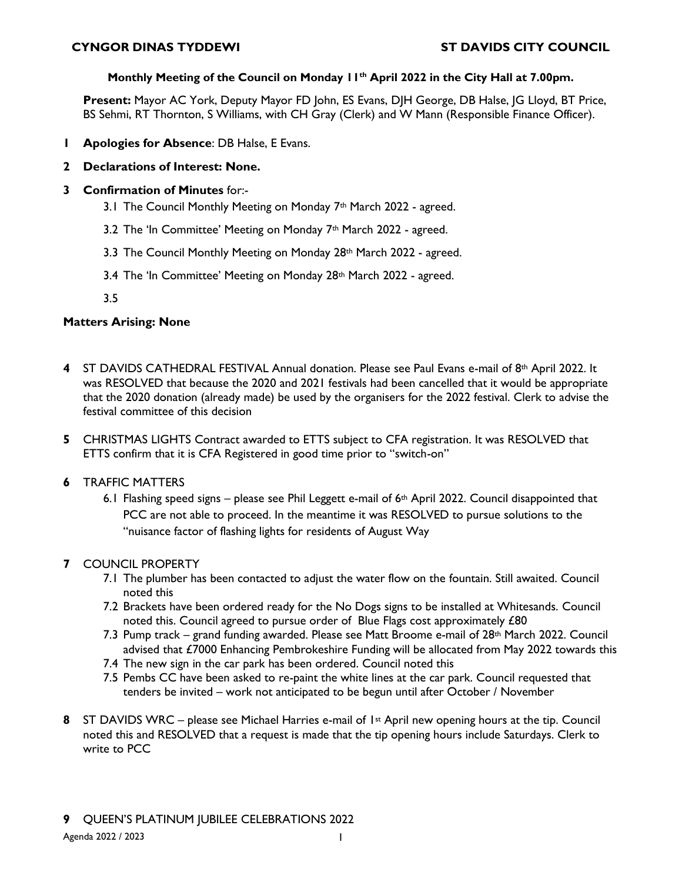### **Monthly Meeting of the Council on Monday 11th April 2022 in the City Hall at 7.00pm.**

**Present:** Mayor AC York, Deputy Mayor FD John, ES Evans, DJH George, DB Halse, JG Lloyd, BT Price, BS Sehmi, RT Thornton, S Williams, with CH Gray (Clerk) and W Mann (Responsible Finance Officer).

- **1 Apologies for Absence**: DB Halse, E Evans.
- **2 Declarations of Interest: None.**
- **3 Confirmation of Minutes** for:-
	- 3.1 The Council Monthly Meeting on Monday 7<sup>th</sup> March 2022 agreed.
	- 3.2 The 'In Committee' Meeting on Monday 7th March 2022 agreed.
	- 3.3 The Council Monthly Meeting on Monday 28th March 2022 agreed.
	- 3.4 The 'In Committee' Meeting on Monday 28<sup>th</sup> March 2022 agreed.
	- 3.5

## **Matters Arising: None**

- **4** ST DAVIDS CATHEDRAL FESTIVAL Annual donation. Please see Paul Evans e-mail of 8th April 2022. It was RESOLVED that because the 2020 and 2021 festivals had been cancelled that it would be appropriate that the 2020 donation (already made) be used by the organisers for the 2022 festival. Clerk to advise the festival committee of this decision
- **5** CHRISTMAS LIGHTS Contract awarded to ETTS subject to CFA registration. It was RESOLVED that ETTS confirm that it is CFA Registered in good time prior to "switch-on"
- **6** TRAFFIC MATTERS
	- 6.1 Flashing speed signs please see Phil Leggett e-mail of  $6<sup>th</sup>$  April 2022. Council disappointed that PCC are not able to proceed. In the meantime it was RESOLVED to pursue solutions to the "nuisance factor of flashing lights for residents of August Way

# **7** COUNCIL PROPERTY

- 7.1 The plumber has been contacted to adjust the water flow on the fountain. Still awaited. Council noted this
- 7.2 Brackets have been ordered ready for the No Dogs signs to be installed at Whitesands. Council noted this. Council agreed to pursue order of Blue Flags cost approximately £80
- 7.3 Pump track grand funding awarded. Please see Matt Broome e-mail of 28th March 2022. Council advised that £7000 Enhancing Pembrokeshire Funding will be allocated from May 2022 towards this
- 7.4 The new sign in the car park has been ordered. Council noted this
- 7.5 Pembs CC have been asked to re-paint the white lines at the car park. Council requested that tenders be invited – work not anticipated to be begun until after October / November
- **8** ST DAVIDS WRC please see Michael Harries e-mail of 1st April new opening hours at the tip. Council noted this and RESOLVED that a request is made that the tip opening hours include Saturdays. Clerk to write to PCC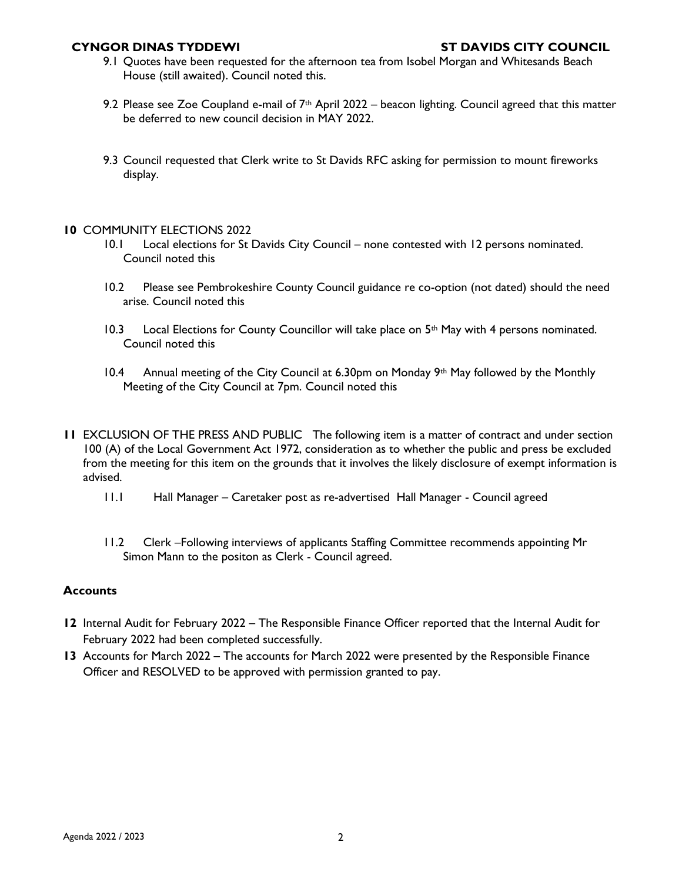- 9.1 Quotes have been requested for the afternoon tea from Isobel Morgan and Whitesands Beach House (still awaited). Council noted this.
- 9.2 Please see Zoe Coupland e-mail of  $7<sup>th</sup>$  April 2022 beacon lighting. Council agreed that this matter be deferred to new council decision in MAY 2022.
- 9.3 Council requested that Clerk write to St Davids RFC asking for permission to mount fireworks display.

#### **10** COMMUNITY ELECTIONS 2022

- 10.1 Local elections for St Davids City Council none contested with 12 persons nominated. Council noted this
- 10.2 Please see Pembrokeshire County Council guidance re co-option (not dated) should the need arise. Council noted this
- 10.3 Local Elections for County Councillor will take place on 5<sup>th</sup> May with 4 persons nominated. Council noted this
- 10.4 Annual meeting of the City Council at 6.30pm on Monday  $9<sup>th</sup>$  May followed by the Monthly Meeting of the City Council at 7pm. Council noted this
- **11** EXCLUSION OF THE PRESS AND PUBLIC The following item is a matter of contract and under section 100 (A) of the Local Government Act 1972, consideration as to whether the public and press be excluded from the meeting for this item on the grounds that it involves the likely disclosure of exempt information is advised.
	- 11.1 Hall Manager Caretaker post as re-advertised Hall Manager Council agreed
	- 11.2 Clerk –Following interviews of applicants Staffing Committee recommends appointing Mr Simon Mann to the positon as Clerk - Council agreed.

#### **Accounts**

- **12** Internal Audit for February 2022 The Responsible Finance Officer reported that the Internal Audit for February 2022 had been completed successfully.
- **13** Accounts for March 2022 The accounts for March 2022 were presented by the Responsible Finance Officer and RESOLVED to be approved with permission granted to pay.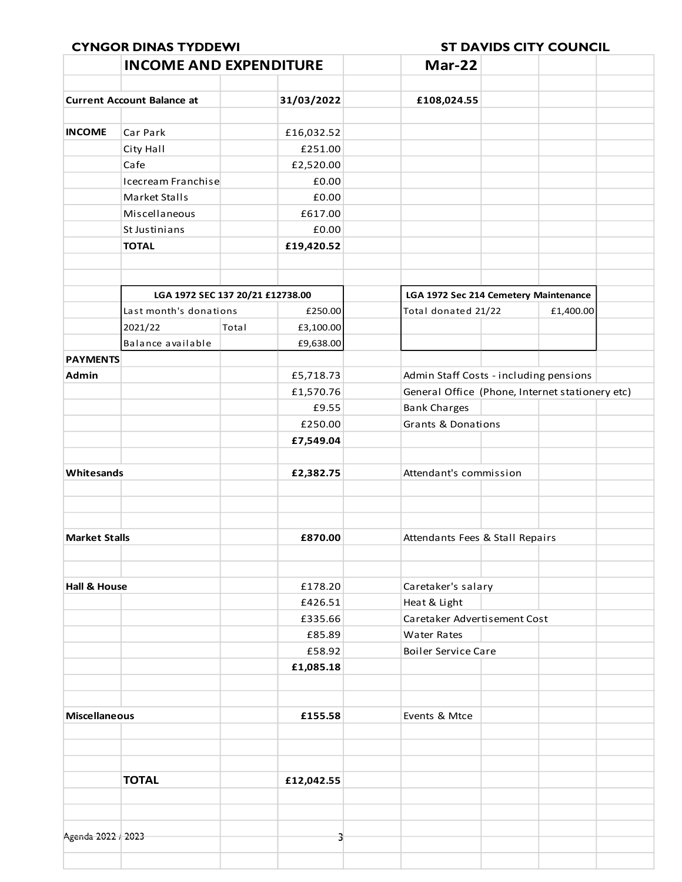|                         | <b>INCOME AND EXPENDITURE</b>     |         |                       | Mar-22                                 |                                       |                                                 |
|-------------------------|-----------------------------------|---------|-----------------------|----------------------------------------|---------------------------------------|-------------------------------------------------|
|                         |                                   |         |                       |                                        |                                       |                                                 |
|                         | <b>Current Account Balance at</b> |         | 31/03/2022            | £108,024.55                            |                                       |                                                 |
| <b>INCOME</b>           | Car Park                          |         |                       |                                        |                                       |                                                 |
|                         |                                   |         | £16,032.52<br>£251.00 |                                        |                                       |                                                 |
|                         | City Hall<br>Cafe                 |         | £2,520.00             |                                        |                                       |                                                 |
|                         | Icecream Franchise                |         | £0.00                 |                                        |                                       |                                                 |
|                         | Market Stalls                     |         | £0.00                 |                                        |                                       |                                                 |
|                         | Miscellaneous                     |         |                       |                                        |                                       |                                                 |
|                         |                                   |         | £617.00               |                                        |                                       |                                                 |
|                         | St Justinians                     |         | £0.00                 |                                        |                                       |                                                 |
|                         | <b>TOTAL</b>                      |         | £19,420.52            |                                        |                                       |                                                 |
|                         | LGA 1972 SEC 137 20/21 £12738.00  |         |                       |                                        | LGA 1972 Sec 214 Cemetery Maintenance |                                                 |
|                         | Last month's donations            | £250.00 |                       | Total donated 21/22                    |                                       | £1,400.00                                       |
|                         | 2021/22                           | Total   | £3,100.00             |                                        |                                       |                                                 |
|                         | Balance available                 |         | £9,638.00             |                                        |                                       |                                                 |
| <b>PAYMENTS</b>         |                                   |         |                       |                                        |                                       |                                                 |
| Admin                   |                                   |         | £5,718.73             | Admin Staff Costs - including pensions |                                       |                                                 |
|                         |                                   |         | £1,570.76             |                                        |                                       | General Office (Phone, Internet stationery etc) |
|                         |                                   |         | £9.55                 | <b>Bank Charges</b>                    |                                       |                                                 |
|                         |                                   |         | £250.00               | <b>Grants &amp; Donations</b>          |                                       |                                                 |
|                         |                                   |         | £7,549.04             |                                        |                                       |                                                 |
| Whitesands              |                                   |         | £2,382.75             |                                        | Attendant's commission                |                                                 |
|                         |                                   |         |                       |                                        |                                       |                                                 |
| <b>Market Stalls</b>    |                                   |         | £870.00               | Attendants Fees & Stall Repairs        |                                       |                                                 |
|                         |                                   |         |                       |                                        |                                       |                                                 |
| <b>Hall &amp; House</b> |                                   |         | £178.20               | Caretaker's salary                     |                                       |                                                 |
|                         |                                   |         | £426.51               | Heat & Light                           |                                       |                                                 |
|                         |                                   |         | £335.66               | Caretaker Advertisement Cost           |                                       |                                                 |
|                         |                                   |         | £85.89                | <b>Water Rates</b>                     |                                       |                                                 |
|                         |                                   |         | £58.92                | <b>Boiler Service Care</b>             |                                       |                                                 |
|                         |                                   |         | £1,085.18             |                                        |                                       |                                                 |
|                         |                                   |         |                       |                                        |                                       |                                                 |
| <b>Miscellaneous</b>    |                                   |         | £155.58               | Events & Mtce                          |                                       |                                                 |
|                         |                                   |         |                       |                                        |                                       |                                                 |
|                         | <b>TOTAL</b>                      |         | £12,042.55            |                                        |                                       |                                                 |
|                         |                                   |         |                       |                                        |                                       |                                                 |
| Agenda 2022 / 2023      |                                   |         |                       |                                        |                                       |                                                 |
|                         |                                   |         |                       |                                        |                                       |                                                 |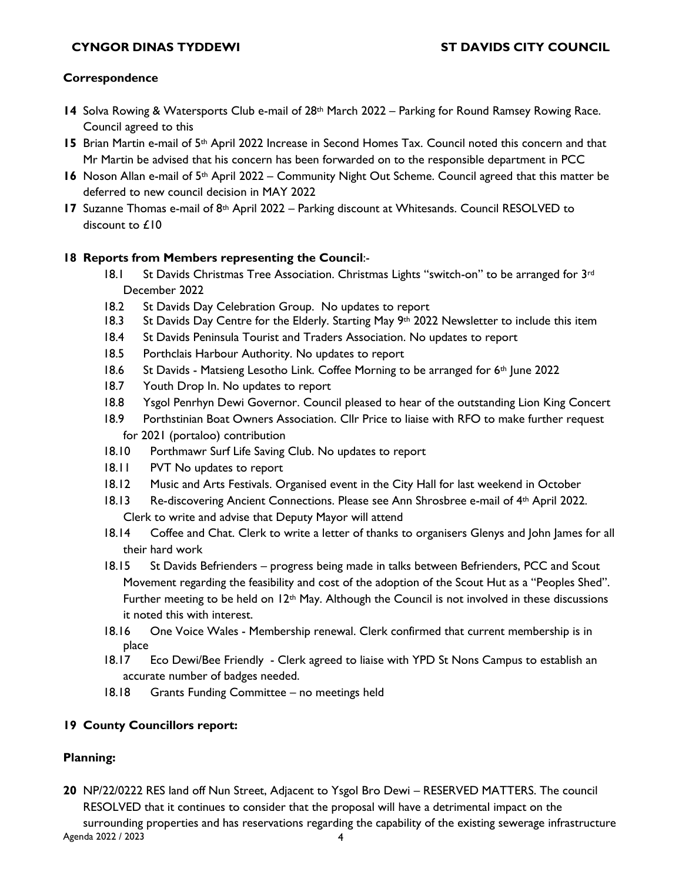## **Correspondence**

- **14** Solva Rowing & Watersports Club e-mail of 28th March 2022 Parking for Round Ramsey Rowing Race. Council agreed to this
- 15 Brian Martin e-mail of 5<sup>th</sup> April 2022 Increase in Second Homes Tax. Council noted this concern and that Mr Martin be advised that his concern has been forwarded on to the responsible department in PCC
- 16 Noson Allan e-mail of 5<sup>th</sup> April 2022 Community Night Out Scheme. Council agreed that this matter be deferred to new council decision in MAY 2022
- **17** Suzanne Thomas e-mail of 8th April 2022 Parking discount at Whitesands. Council RESOLVED to discount to £10

### **18 Reports from Members representing the Council**:-

- 18.1 St Davids Christmas Tree Association. Christmas Lights "switch-on" to be arranged for  $3rd$ December 2022
- 18.2 St Davids Day Celebration Group. No updates to report
- 18.3 St Davids Day Centre for the Elderly. Starting May 9th 2022 Newsletter to include this item
- 18.4 St Davids Peninsula Tourist and Traders Association. No updates to report
- 18.5 Porthclais Harbour Authority. No updates to report
- 18.6 St Davids Matsieng Lesotho Link. Coffee Morning to be arranged for  $6<sup>th</sup>$  June 2022
- 18.7 Youth Drop In. No updates to report
- 18.8 Ysgol Penrhyn Dewi Governor. Council pleased to hear of the outstanding Lion King Concert
- 18.9 Porthstinian Boat Owners Association. Cllr Price to liaise with RFO to make further request for 2021 (portaloo) contribution
- 18.10 Porthmawr Surf Life Saving Club. No updates to report
- 18.11 PVT No updates to report
- 18.12 Music and Arts Festivals. Organised event in the City Hall for last weekend in October
- 18.13 Re-discovering Ancient Connections. Please see Ann Shrosbree e-mail of 4<sup>th</sup> April 2022. Clerk to write and advise that Deputy Mayor will attend
- 18.14 Coffee and Chat. Clerk to write a letter of thanks to organisers Glenys and John James for all their hard work
- 18.15 St Davids Befrienders progress being made in talks between Befrienders, PCC and Scout Movement regarding the feasibility and cost of the adoption of the Scout Hut as a "Peoples Shed". Further meeting to be held on  $12<sup>th</sup>$  May. Although the Council is not involved in these discussions it noted this with interest.
- 18.16 One Voice Wales Membership renewal. Clerk confirmed that current membership is in place
- 18.17 Eco Dewi/Bee Friendly Clerk agreed to liaise with YPD St Nons Campus to establish an accurate number of badges needed.
- 18.18 Grants Funding Committee no meetings held

# **19 County Councillors report:**

# **Planning:**

Agenda 2022 / 2023 4 **20** NP/22/0222 RES land off Nun Street, Adjacent to Ysgol Bro Dewi – RESERVED MATTERS. The council RESOLVED that it continues to consider that the proposal will have a detrimental impact on the surrounding properties and has reservations regarding the capability of the existing sewerage infrastructure